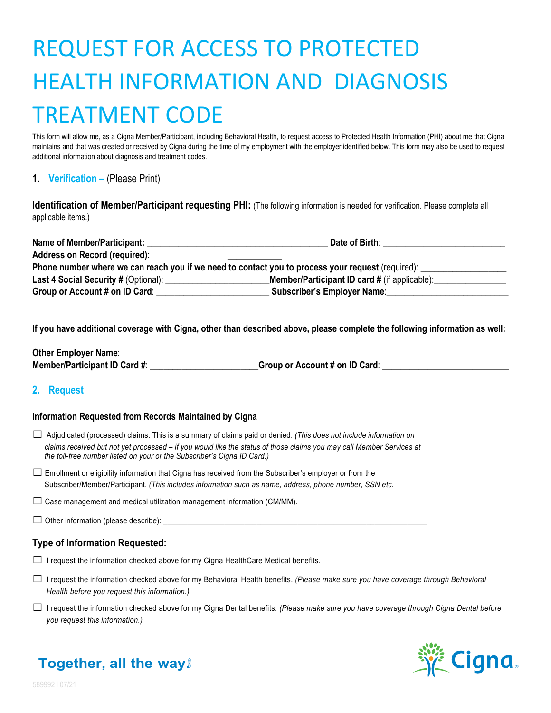# REQUEST FOR ACCESS TO PROTECTED HEALTH INFORMATION AND DIAGNOSIS TREATMENT CODE

This form will allow me, as a Cigna Member/Participant, including Behavioral Health, to request access to Protected Health Information (PHI) about me that Cigna maintains and that was created or received by Cigna during the time of my employment with the employer identified below. This form may also be used to request additional information about diagnosis and treatment codes.

# **1. Verification –** (Please Print)

**Identification of Member/Participant requesting PHI:** (The following information is needed for verification. Please complete all applicable items.)

| <b>Name of Member/Participant:</b>                                                                | Date of Birth:                                       |  |  |
|---------------------------------------------------------------------------------------------------|------------------------------------------------------|--|--|
| Address on Record (required):                                                                     |                                                      |  |  |
| Phone number where we can reach you if we need to contact you to process your request (required): |                                                      |  |  |
|                                                                                                   | <b>Member/Participant ID card #</b> (if applicable): |  |  |
| Group or Account # on ID Card:                                                                    | <b>Subscriber's Employer Name:</b>                   |  |  |
|                                                                                                   |                                                      |  |  |

**If you have additional coverage with Cigna, other than described above, please complete the following information as well:**

**Other Employer Name: Member/Participant ID Card #:**  $\qquad \qquad$  **Group or Account # on ID Card**:  $\qquad \qquad$ 

# **2. Request**

## **Information Requested from Records Maintained by Cigna**

- □ Adjudicated (processed) claims: This is a summary of claims paid or denied. *(This does not include information on claims received but not yet processed – if you would like the status of those claims you may call Member Services at the toll-free number listed on your or the Subscriber's Cigna ID Card.)*
- $\square$  Enrollment or eligibility information that Cigna has received from the Subscriber's employer or from the Subscriber/Member/Participant. *(This includes information such as name, address, phone number, SSN etc.*
- $\square$  Case management and medical utilization management information (CM/MM).

#### $\square$  Other information (please describe):  $\square$

# **Type of Information Requested:**

- $\Box$  I request the information checked above for my Cigna HealthCare Medical benefits.
- □ <sup>I</sup> request the information checked above for my Behavioral Health benefits. *(Please make sure you have coverage through Behavioral Health before you request this information.)*
- □ <sup>I</sup> request the information checked above for my Cigna Dental benefits. *(Please make sure you have coverage through Cigna Dental before you request this information.)*



# **Together, all the way.®**